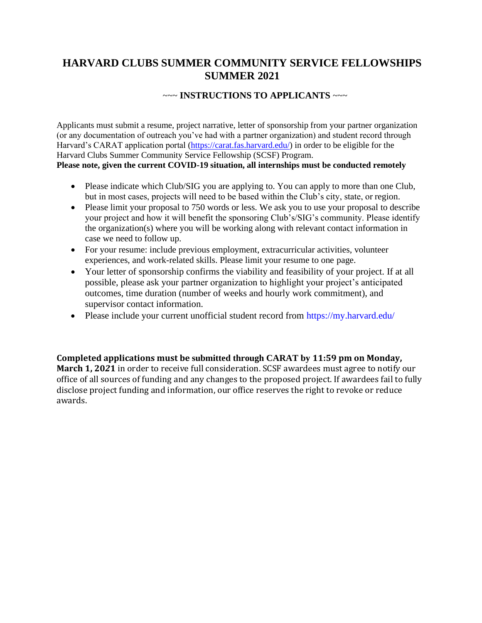# **HARVARD CLUBS SUMMER COMMUNITY SERVICE FELLOWSHIPS SUMMER 2021**

# ~~~ **INSTRUCTIONS TO APPLICANTS** ~~~

Applicants must submit a resume, project narrative, letter of sponsorship from your partner organization (or any documentation of outreach you've had with a partner organization) and student record through Harvard's CARAT application portal [\(https://carat.fas.harvard.edu/\) i](https://carat.fas.harvard.edu/)n order to be eligible for the Harvard Clubs Summer Community Service Fellowship (SCSF) Program. **Please note, given the current COVID-19 situation, all internships must be conducted remotely**

- Please indicate which Club/SIG you are applying to. You can apply to more than one Club, but in most cases, projects will need to be based within the Club's city, state, or region.
- Please limit your proposal to 750 words or less. We ask you to use your proposal to describe your project and how it will benefit the sponsoring Club's/SIG's community. Please identify the organization(s) where you will be working along with relevant contact information in case we need to follow up.
- For your resume: include previous employment, extracurricular activities, volunteer experiences, and work-related skills. Please limit your resume to one page.
- Your letter of sponsorship confirms the viability and feasibility of your project. If at all possible, please ask your partner organization to highlight your project's anticipated outcomes, time duration (number of weeks and hourly work commitment), and supervisor contact information.
- Please include your current unofficial student record from <https://my.harvard.edu/>

**Completed applications must be submitted through CARAT by 11:59 pm on Monday,** 

**March 1, 20***2***1** in order to receive full consideration. SCSF awardees must agree to notify our office of all sources of funding and any changes to the proposed project. If awardees fail to fully disclose project funding and information, our office reserves the right to revoke or reduce awards.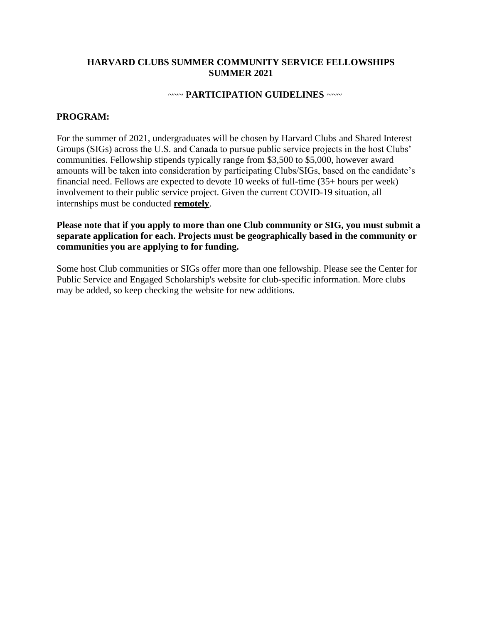### **HARVARD CLUBS SUMMER COMMUNITY SERVICE FELLOWSHIPS SUMMER 2021**

### ~~~ **PARTICIPATION GUIDELINES** ~~~

### **PROGRAM:**

For the summer of 2021, undergraduates will be chosen by Harvard Clubs and Shared Interest Groups (SIGs) across the U.S. and Canada to pursue public service projects in the host Clubs' communities. Fellowship stipends typically range from \$3,500 to \$5,000, however award amounts will be taken into consideration by participating Clubs/SIGs, based on the candidate's financial need. Fellows are expected to devote 10 weeks of full-time (35+ hours per week) involvement to their public service project. Given the current COVID-19 situation, all internships must be conducted **remotely**.

### **Please note that if you apply to more than one Club community or SIG, you must submit a separate application for each. Projects must be geographically based in the community or communities you are applying to for funding.**

Some host Club communities or SIGs offer more than one fellowship. Please see the Center for Public Service and Engaged Scholarship's website for club-specific information. More clubs may be added, so keep checking the website for new additions.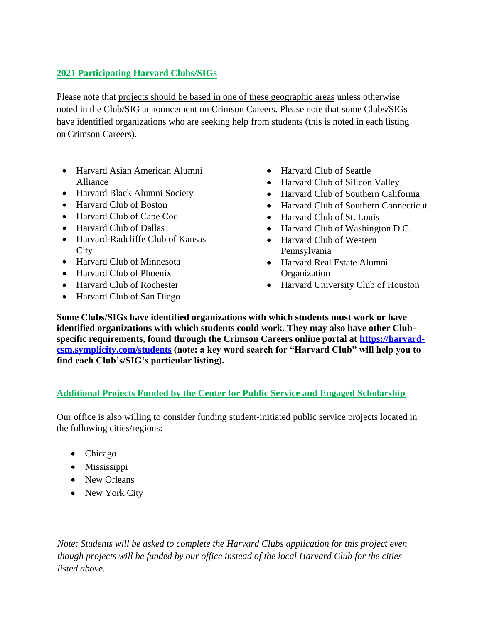# **2021 Participating Harvard Clubs/SIGs**

Please note that projects should be based in one of these geographic areas unless otherwise noted in the Club/SIG announcement on Crimson Careers. Please note that some Clubs/SIGs have identified organizations who are seeking help from students (this is noted in each listing on Crimson Careers).

- Harvard Asian American Alumni Alliance
- Harvard Black Alumni Society
- Harvard Club of Boston
- Harvard Club of Cape Cod
- Harvard Club of Dallas
- Harvard-Radcliffe Club of Kansas **City**
- Harvard Club of Minnesota
- Harvard Club of Phoenix
- Harvard Club of Rochester
- Harvard Club of San Diego
- Harvard Club of Seattle
- Harvard Club of Silicon Valley
- Harvard Club of Southern California
- Harvard Club of Southern Connecticut
- Harvard Club of St. Louis
- Harvard Club of Washington D.C.
- Harvard Club of Western Pennsylvania
- Harvard Real Estate Alumni **Organization**
- Harvard University Club of Houston

**Some Clubs/SIGs have identified organizations with which students must work or have identified organizations with which students could work. They may also have other Clubspecific requirements, found through the Crimson Careers online portal at [https://harvard](https://harvard-csm.symplicity.com/students)[csm.symplicity.com/students](https://harvard-csm.symplicity.com/students) (note: a key word search for "Harvard Club" will help you to find each Club's/SIG's particular listing).**

### **Additional Projects Funded by the Center for Public Service and Engaged Scholarship**

Our office is also willing to consider funding student-initiated public service projects located in the following cities/regions:

- Chicago
- Mississippi
- New Orleans
- New York City

*Note: Students will be asked to complete the Harvard Clubs application for this project even though projects will be funded by our office instead of the local Harvard Club for the cities listed above.*